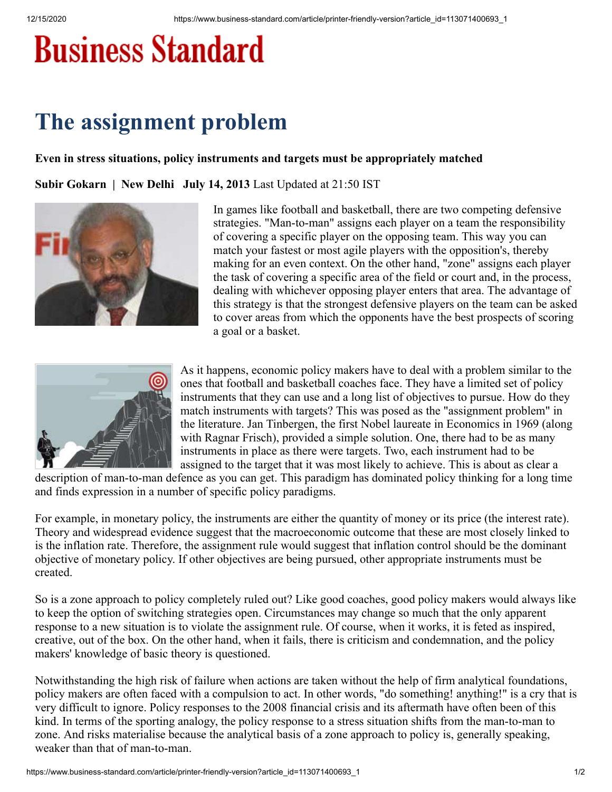## **Business Standard**

## **The assignment problem**

## **Even in stress situations, policy instruments and targets must be appropriately matched**

**Subir Gokarn | New Delhi July 14, 2013** Last Updated at 21:50 IST



In games like football and basketball, there are two competing defensive strategies. "Man-to-man" assigns each player on a team the responsibility of covering a specific player on the opposing team. This way you can match your fastest or most agile players with the opposition's, thereby making for an even context. On the other hand, "zone" assigns each player the task of covering a specific area of the field or court and, in the process, dealing with whichever opposing player enters that area. The advantage of this strategy is that the strongest defensive players on the team can be asked to cover areas from which the opponents have the best prospects of scoring a goal or a basket.



As it happens, economic policy makers have to deal with a problem similar to the ones that football and basketball coaches face. They have a limited set of policy instruments that they can use and a long list of objectives to pursue. How do they match instruments with targets? This was posed as the "assignment problem" in the literature. Jan Tinbergen, the first Nobel laureate in Economics in 1969 (along with Ragnar Frisch), provided a simple solution. One, there had to be as many instruments in place as there were targets. Two, each instrument had to be assigned to the target that it was most likely to achieve. This is about as clear a

description of man-to-man defence as you can get. This paradigm has dominated policy thinking for a long time and finds expression in a number of specific policy paradigms.

For example, in monetary policy, the instruments are either the quantity of money or its price (the interest rate). Theory and widespread evidence suggest that the macroeconomic outcome that these are most closely linked to is the inflation rate. Therefore, the assignment rule would suggest that inflation control should be the dominant objective of monetary policy. If other objectives are being pursued, other appropriate instruments must be created.

So is a zone approach to policy completely ruled out? Like good coaches, good policy makers would always like to keep the option of switching strategies open. Circumstances may change so much that the only apparent response to a new situation is to violate the assignment rule. Of course, when it works, it is feted as inspired, creative, out of the box. On the other hand, when it fails, there is criticism and condemnation, and the policy makers' knowledge of basic theory is questioned.

Notwithstanding the high risk of failure when actions are taken without the help of firm analytical foundations, policy makers are often faced with a compulsion to act. In other words, "do something! anything!" is a cry that is very difficult to ignore. Policy responses to the 2008 financial crisis and its aftermath have often been of this kind. In terms of the sporting analogy, the policy response to a stress situation shifts from the man-to-man to zone. And risks materialise because the analytical basis of a zone approach to policy is, generally speaking, weaker than that of man-to-man.